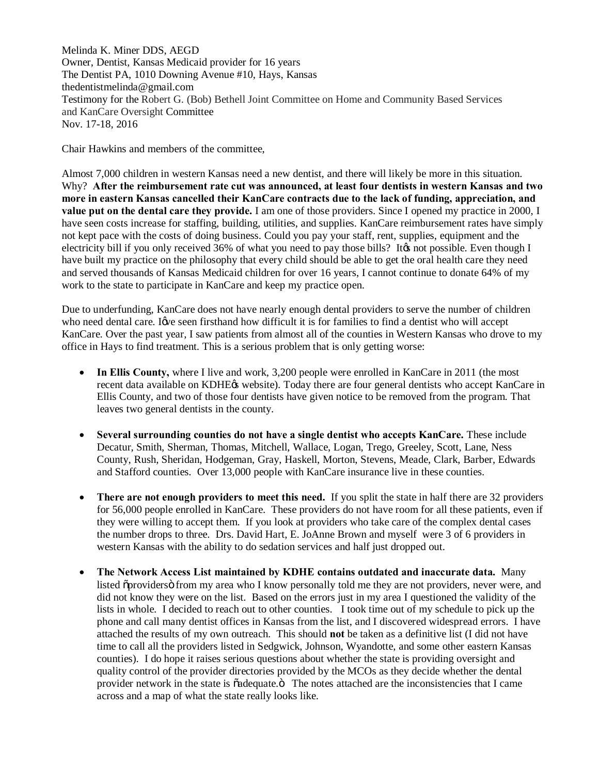Melinda K. Miner DDS, AEGD Owner, Dentist, Kansas Medicaid provider for 16 years The Dentist PA, 1010 Downing Avenue #10, Hays, Kansas thedentistmelinda@gmail.com Testimony for the Robert G. (Bob) Bethell Joint Committee on Home and Community Based Services and KanCare Oversight Committee Nov. 17-18, 2016

Chair Hawkins and members of the committee,

Almost 7,000 children in western Kansas need a new dentist, and there will likely be more in this situation. Why? **After the reimbursement rate cut was announced, at least four dentists in western Kansas and two more in eastern Kansas cancelled their KanCare contracts due to the lack of funding, appreciation, and value put on the dental care they provide.** I am one of those providers. Since I opened my practice in 2000, I have seen costs increase for staffing, building, utilities, and supplies. KanCare reimbursement rates have simply not kept pace with the costs of doing business. Could you pay your staff, rent, supplies, equipment and the electricity bill if you only received 36% of what you need to pay those bills? It ts not possible. Even though I have built my practice on the philosophy that every child should be able to get the oral health care they need and served thousands of Kansas Medicaid children for over 16 years, I cannot continue to donate 64% of my work to the state to participate in KanCare and keep my practice open.

Due to underfunding, KanCare does not have nearly enough dental providers to serve the number of children who need dental care. Iwe seen firsthand how difficult it is for families to find a dentist who will accept KanCare. Over the past year, I saw patients from almost all of the counties in Western Kansas who drove to my office in Hays to find treatment. This is a serious problem that is only getting worse:

- In Ellis County, where I live and work, 3,200 people were enrolled in KanCare in 2011 (the most recent data available on KDHE $\alpha$  website). Today there are four general dentists who accept KanCare in Ellis County, and two of those four dentists have given notice to be removed from the program. That leaves two general dentists in the county.
- · **Several surrounding counties do not have a single dentist who accepts KanCare.** These include Decatur, Smith, Sherman, Thomas, Mitchell, Wallace, Logan, Trego, Greeley, Scott, Lane, Ness County, Rush, Sheridan, Hodgeman, Gray, Haskell, Morton, Stevens, Meade, Clark, Barber, Edwards and Stafford counties. Over 13,000 people with KanCare insurance live in these counties.
- · **There are not enough providers to meet this need.** If you split the state in half there are 32 providers for 56,000 people enrolled in KanCare. These providers do not have room for all these patients, even if they were willing to accept them. If you look at providers who take care of the complex dental cases the number drops to three. Drs. David Hart, E. JoAnne Brown and myself were 3 of 6 providers in western Kansas with the ability to do sedation services and half just dropped out.
- · **The Network Access List maintained by KDHE contains outdated and inaccurate data.** Many listed  $\ddot{\text{op}}$  from my area who I know personally told me they are not providers, never were, and did not know they were on the list. Based on the errors just in my area I questioned the validity of the lists in whole. I decided to reach out to other counties. I took time out of my schedule to pick up the phone and call many dentist offices in Kansas from the list, and I discovered widespread errors. I have attached the results of my own outreach. This should **not** be taken as a definitive list (I did not have time to call all the providers listed in Sedgwick, Johnson, Wyandotte, and some other eastern Kansas counties). I do hope it raises serious questions about whether the state is providing oversight and quality control of the provider directories provided by the MCOs as they decide whether the dental provider network in the state is  $\tilde{o}$  adequate. $\ddot{o}$  The notes attached are the inconsistencies that I came across and a map of what the state really looks like.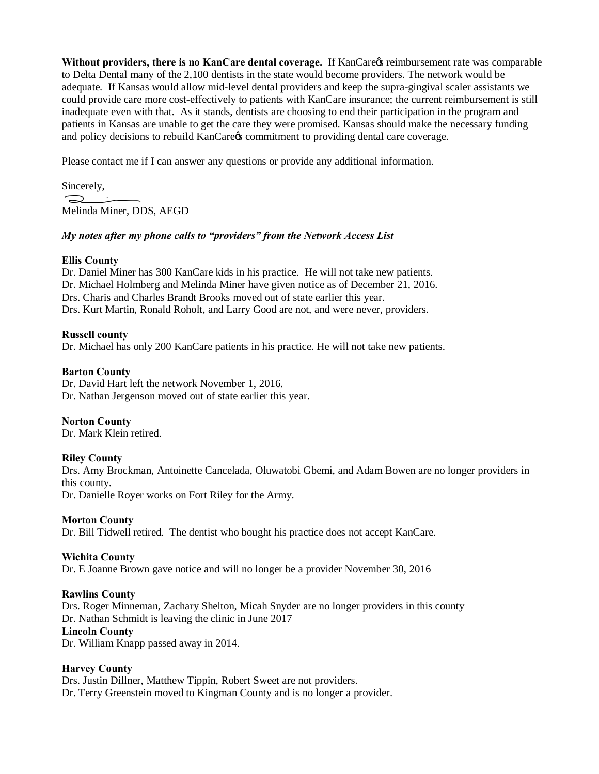Without providers, there is no KanCare dental coverage. If KanCares reimbursement rate was comparable to Delta Dental many of the 2,100 dentists in the state would become providers. The network would be adequate. If Kansas would allow mid-level dental providers and keep the supra-gingival scaler assistants we could provide care more cost-effectively to patients with KanCare insurance; the current reimbursement is still inadequate even with that. As it stands, dentists are choosing to end their participation in the program and patients in Kansas are unable to get the care they were promised. Kansas should make the necessary funding and policy decisions to rebuild KanCare & commitment to providing dental care coverage.

Please contact me if I can answer any questions or provide any additional information.

Sincerely,  $\supset$ Melinda Miner, DDS, AEGD

### *My notes after my phone calls to "providers" from the Network Access List*

### **Ellis County**

Dr. Daniel Miner has 300 KanCare kids in his practice. He will not take new patients. Dr. Michael Holmberg and Melinda Miner have given notice as of December 21, 2016. Drs. Charis and Charles Brandt Brooks moved out of state earlier this year. Drs. Kurt Martin, Ronald Roholt, and Larry Good are not, and were never, providers.

# **Russell county**

Dr. Michael has only 200 KanCare patients in his practice. He will not take new patients.

# **Barton County**

Dr. David Hart left the network November 1, 2016. Dr. Nathan Jergenson moved out of state earlier this year.

### **Norton County**

Dr. Mark Klein retired.

### **Riley County**

Drs. Amy Brockman, Antoinette Cancelada, Oluwatobi Gbemi, and Adam Bowen are no longer providers in this county.

Dr. Danielle Royer works on Fort Riley for the Army.

### **Morton County**

Dr. Bill Tidwell retired. The dentist who bought his practice does not accept KanCare.

### **Wichita County**

Dr. E Joanne Brown gave notice and will no longer be a provider November 30, 2016

### **Rawlins County**

Drs. Roger Minneman, Zachary Shelton, Micah Snyder are no longer providers in this county Dr. Nathan Schmidt is leaving the clinic in June 2017 **Lincoln County** 

Dr. William Knapp passed away in 2014.

### **Harvey County**

Drs. Justin Dillner, Matthew Tippin, Robert Sweet are not providers. Dr. Terry Greenstein moved to Kingman County and is no longer a provider.